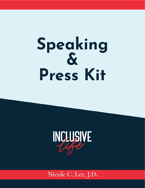# Speaking  $\boldsymbol{\delta}$ Press Kit



Nicole C. Lee, J.D.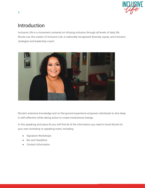

## Introduction

Inclusive Life is a movement centered on infusing inclusion through all levels of daily life. Nicole Lee, the creator of Inclusive Life, is nationally-recognized diversity, equity, and inclusion strategist and leadership coach.



Nicole's extensive knowledge and on-the-ground experience empower individuals to dive deep in self-reflection while taking action to create institutional change.

In this speaking and press kit you will find all of the information you need to book Nicole for your next workshop or speaking event, including:

- Signature Workshops
- Bio and Headshot
- Contact Information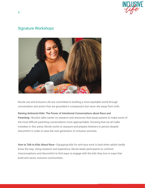

## Signature Workshops



Nicole Lee and Inclusive Life are committed to building a more equitable world through conversation and action that are grounded in compassion but never shy away from truth.

#### **Raising Antiracist Kids: The Power of Intentional Conversations about Race and**

**Parenting**—Nicole's talks center on research and resources that equip parents to make some of the most difficult parenting conversations more approachable. Knowing that we all make mistakes in this arena, Nicole works to reassure and prepare listeners to persist despite discomfort in order to raise the next generation of inclusion activists.

**How to Talk to Kids About Race**—Equipping kids for anti-race work is hard when adults hardly know the way. Using research and experience, Nicole leads participants to confront misconceptions and discomfort to find ways to engage with the kids they love in ways that build anti-racist, inclusive communities.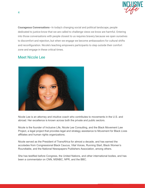

**Courageous Conversations**—In today's changing social and political landscape, people dedicated to justice know that we are called to challenge views we know are harmful. Entering into those conversations with people closest to us requires bravery because we open ourselves to discomfort and rejection, but when we engage we become ambassadors for cultural shifts and reconfiguration. Nicole's teaching empowers participants to step outside their comfort zone and engage in these critical times.

### Meet Nicole Lee



Nicole Lee is an attorney and intuitive coach who contributes to movements in the U.S. and abroad. Her excellence is known across both the private and public sectors.

Nicole is the founder of Inclusive Life, Nicole Lee Consulting, and the Black Movement Law Project, a legal project that provides legal and strategy assistance to Movement for Black Lives affiliates and human rights organizations.

Nicole served as the President of TransAfrica for almost a decade, and has earned the accolades from Congressional Black Caucus, Vital Voices, Running Start, Black Women's Roundtable, and the National Newspapers Publishers Association, among others.

She has testified before Congress, the United Nations, and other international bodies, and has been a commentator on CNN, MSNBC, NPR, and the BBC.